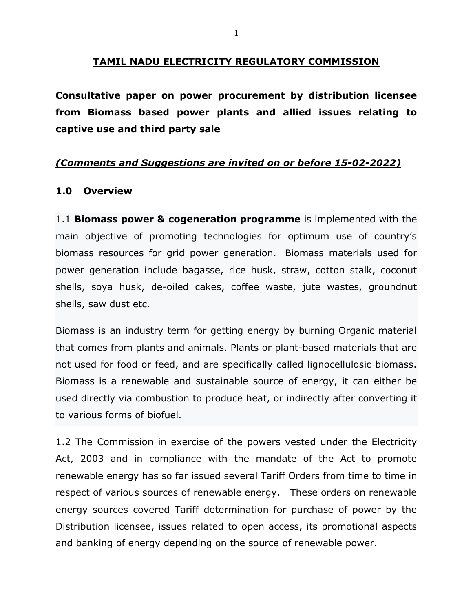## **TAMIL NADU ELECTRICITY REGULATORY COMMISSION**

**Consultative paper on power procurement by distribution licensee from Biomass based power plants and allied issues relating to captive use and third party sale** 

## *(Comments and Suggestions are invited on or before 15-02-2022)*

## **1.0 Overview**

1.1 **Biomass power & cogeneration programme** is implemented with the main objective of promoting technologies for optimum use of country's biomass resources for grid power generation. Biomass materials used for power generation include bagasse, rice husk, straw, cotton stalk, coconut shells, soya husk, de-oiled cakes, coffee waste, jute wastes, groundnut shells, saw dust etc.

Biomass is an industry term for getting energy by burning Organic material that comes from plants and animals. Plants or plant-based materials that are not used for food or feed, and are specifically called lignocellulosic biomass. Biomass is a renewable and sustainable source of energy, it can either be used directly via combustion to produce heat, or indirectly after converting it to various forms of biofuel.

1.2 The Commission in exercise of the powers vested under the Electricity Act, 2003 and in compliance with the mandate of the Act to promote renewable energy has so far issued several Tariff Orders from time to time in respect of various sources of renewable energy. These orders on renewable energy sources covered Tariff determination for purchase of power by the Distribution licensee, issues related to open access, its promotional aspects and banking of energy depending on the source of renewable power.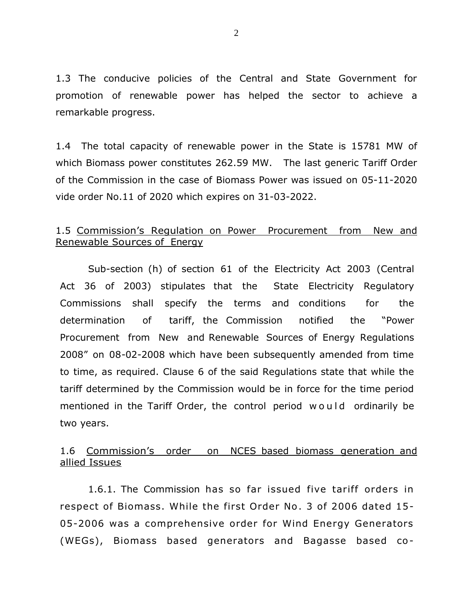1.3 The conducive policies of the Central and State Government for promotion of renewable power has helped the sector to achieve a remarkable progress.

1.4 The total capacity of renewable power in the State is 15781 MW of which Biomass power constitutes 262.59 MW. The last generic Tariff Order of the Commission in the case of Biomass Power was issued on 05-11-2020 vide order No.11 of 2020 which expires on 31-03-2022.

## 1.5 Commission's Regulation on Power Procurement from New and Renewable Sources of Energy

Sub-section (h) of section 61 of the Electricity Act 2003 (Central Act 36 of 2003) stipulates that the State Electricity Regulatory Commissions shall specify the terms and conditions for the determination of tariff, the Commission notified the "Power Procurement from New and Renewable Sources of Energy Regulations 2008" on 08-02-2008 which have been subsequently amended from time to time, as required. Clause 6 of the said Regulations state that while the tariff determined by the Commission would be in force for the time period mentioned in the Tariff Order, the control period would ordinarily be two years.

## 1.6 Commission's order on NCES based biomass generation and allied Issues

1.6.1. The Commission has so far issued five tariff orders in respect of Biomass. While the first Order No. 3 of 2006 dated 15- 05-2006 was a comprehensive order for Wind Energy Generators (WEGs), Biomass based generators and Bagasse based co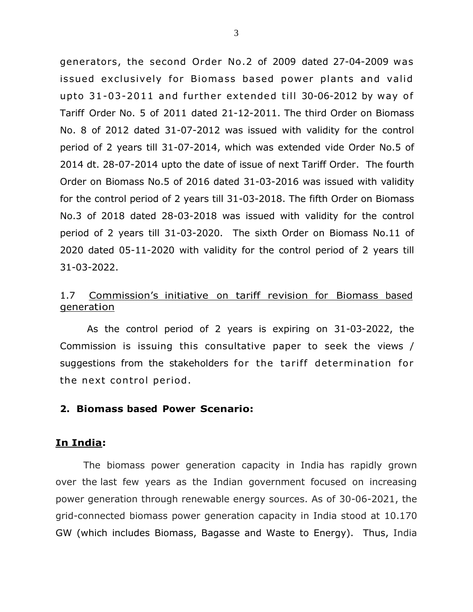generators, the second Order No.2 of 2009 dated 27-04-2009 was issued exclusively for Biomass based power plants and valid upto  $31-03-2011$  and further extended till 30-06-2012 by way of Tariff Order No. 5 of 2011 dated 21-12-2011. The third Order on Biomass No. 8 of 2012 dated 31-07-2012 was issued with validity for the control period of 2 years till 31-07-2014, which was extended vide Order No.5 of 2014 dt. 28-07-2014 upto the date of issue of next Tariff Order. The fourth Order on Biomass No.5 of 2016 dated 31-03-2016 was issued with validity for the control period of 2 years till 31-03-2018. The fifth Order on Biomass No.3 of 2018 dated 28-03-2018 was issued with validity for the control period of 2 years till 31-03-2020. The sixth Order on Biomass No.11 of 2020 dated 05-11-2020 with validity for the control period of 2 years till 31-03-2022.

## 1.7 Commission's initiative on tariff revision for Biomass based generation

As the control period of 2 years is expiring on 31-03-2022, the Commission is issuing this consultative paper to seek the views / suggestions from the stakeholders for the tariff determination for the next control period.

#### **2. Biomass based Power Scenario:**

#### **In India:**

The biomass power generation capacity in India has rapidly grown over the last few years as the Indian government focused on increasing power generation through renewable energy sources. As of 30-06-2021, the grid-connected biomass power generation capacity in India stood at 10.170 GW (which includes Biomass, Bagasse and Waste to Energy). Thus, India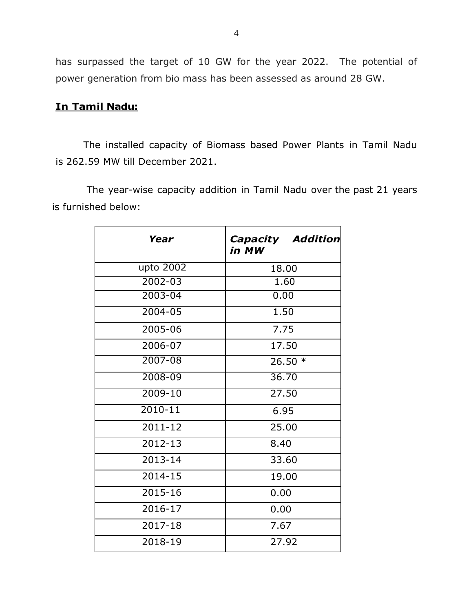has surpassed the target of 10 GW for the year 2022. The potential of power generation from bio mass has been assessed as around 28 GW.

## **In Tamil Nadu:**

The installed capacity of Biomass based Power Plants in Tamil Nadu is 262.59 MW till December 2021.

The year-wise capacity addition in Tamil Nadu over the past 21 years is furnished below:

| Year        | <b>Capacity Addition</b><br>in MW |  |  |  |
|-------------|-----------------------------------|--|--|--|
| upto 2002   | 18.00                             |  |  |  |
| $2002 - 03$ | 1.60                              |  |  |  |
| $2003 - 04$ | 0.00                              |  |  |  |
| $2004 - 05$ | 1.50                              |  |  |  |
| 2005-06     | 7.75                              |  |  |  |
| 2006-07     | 17.50                             |  |  |  |
| 2007-08     | $26.50*$                          |  |  |  |
| 2008-09     | 36,70                             |  |  |  |
| $2009 - 10$ | 27.50                             |  |  |  |
| $2010 - 11$ | 6.95                              |  |  |  |
| $2011 - 12$ | 25.00                             |  |  |  |
| 2012-13     | 8.40                              |  |  |  |
| 2013-14     | 33.60                             |  |  |  |
| 2014-15     | 19.00                             |  |  |  |
| 2015-16     | 0.00                              |  |  |  |
| 2016-17     | 0.00                              |  |  |  |
| 2017-18     | 7.67                              |  |  |  |
| 2018-19     | 27.92                             |  |  |  |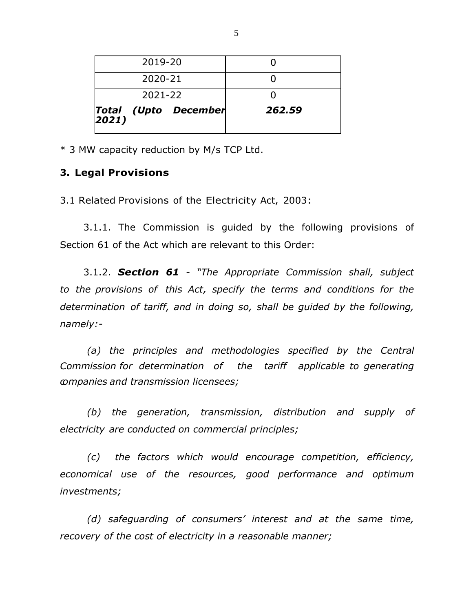|         | Total (Upto December<br>2021) | 262.59 |
|---------|-------------------------------|--------|
| 2021-22 |                               |        |
| 2020-21 |                               |        |
| 2019-20 |                               |        |

\* 3 MW capacity reduction by M/s TCP Ltd.

#### **3. Legal Provisions**

3.1 Related Provisions of the Electricity Act, 2003:

3.1.1. The Commission is guided by the following provisions of Section 61 of the Act which are relevant to this Order:

3.1.2. *Section 61 - "The Appropriate Commission shall, subject to the provisions of this Act, specify the terms and conditions for the determination of tariff, and in doing so, shall be guided by the following, namely:-*

*(a) the principles and methodologies specified by the Central Commission for determination of the tariff applicable to generating companies and transmission licensees;*

*(b) the generation, transmission, distribution and supply of electricity are conducted on commercial principles;*

*(c) the factors which would encourage competition, efficiency, economical use of the resources, good performance and optimum investments;*

*(d) safeguarding of consumers' interest and at the same time, recovery of the cost of electricity in a reasonable manner;*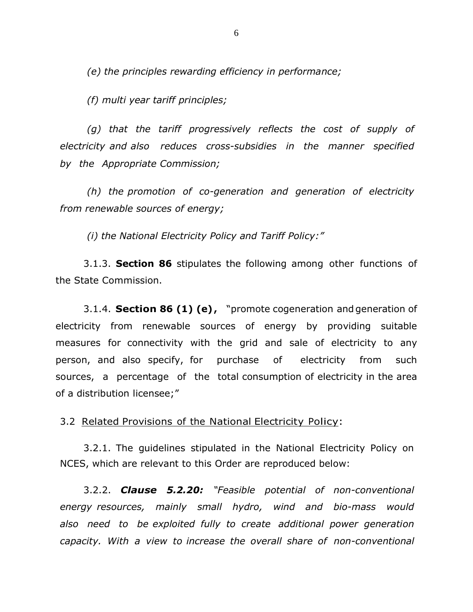*(e) the principles rewarding efficiency in performance;*

*(f) multi year tariff principles;*

*(g) that the tariff progressively reflects the cost of supply of electricity and also reduces cross-subsidies in the manner specified by the Appropriate Commission;*

*(h) the promotion of co-generation and generation of electricity from renewable sources of energy;*

*(i) the National Electricity Policy and Tariff Policy:"*

3.1.3. **Section 86** stipulates the following among other functions of the State Commission.

3.1.4. **Section 86 (1) (e) ,** "promote cogeneration and generation of electricity from renewable sources of energy by providing suitable measures for connectivity with the grid and sale of electricity to any person, and also specify, for purchase of electricity from such sources, a percentage of the total consumption of electricity in the area of a distribution licensee;"

3.2 Related Provisions of the National Electricity Policy:

3.2.1. The guidelines stipulated in the National Electricity Policy on NCES, which are relevant to this Order are reproduced below:

3.2.2. *Clause 5.2.20: "Feasible potential of non-conventional energy resources, mainly small hydro, wind and bio-mass would also need to be exploited fully to create additional power generation capacity. With a view to increase the overall share of non-conventional*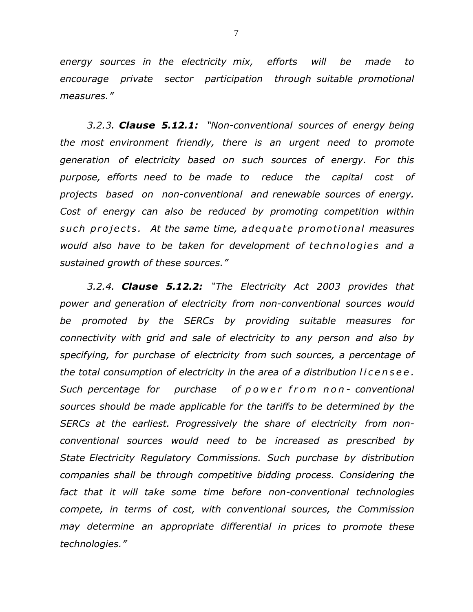*energy sources in the electricity mix, efforts will be made to encourage private sector participation through suitable promotional measures."*

*3.2.3. Clause 5.12.1: "Non-conventional sources of energy being the most environment friendly, there is an urgent need to promote generation of electricity based on such sources of energy. For this purpose, efforts need to be made to reduce the capital cost of projects based on non-conventional and renewable sources of energy. Cost of energy can also be reduced by promoting competition within s u c h p r o j e c t s . At the same time, adequa te promo tional measures would also have to be taken for development of te chnologie s and a sustained growth of these sources."*

*3.2.4. Clause 5.12.2: "The Electricity Act 2003 provides that power and generation of electricity from non-conventional sources would be promoted by the SERCs by providing suitable measures for connectivity with grid and sale of electricity to any person and also by specifying, for purchase of electricity from such sources, a percentage of the total consumption of electricity in the area of a distribution l i c e n s e e . Such percentage for purchase of p o w e r f r o m n o n - conventional sources should be made applicable for the tariffs to be determined by the SERCs at the earliest. Progressively the share of electricity from nonconventional sources would need to be increased as prescribed by State Electricity Regulatory Commissions. Such purchase by distribution companies shall be through competitive bidding process. Considering the fact that it will take some time before non-conventional technologies compete, in terms of cost, with conventional sources, the Commission may determine an appropriate differential in prices to promote these technologies."*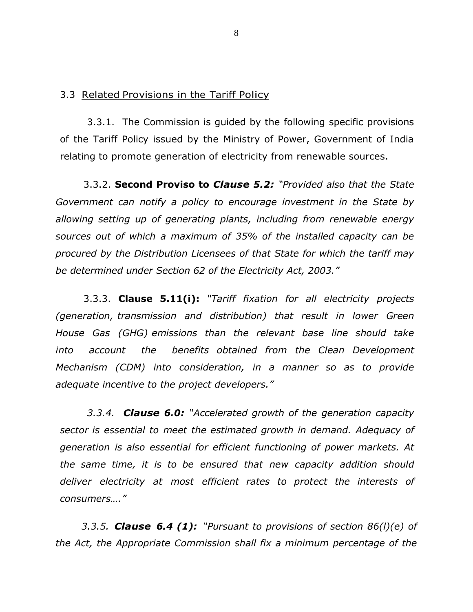#### 3.3 Related Provisions in the Tariff Policy

3.3.1. The Commission is guided by the following specific provisions of the Tariff Policy issued by the Ministry of Power, Government of India relating to promote generation of electricity from renewable sources.

3.3.2. **Second Proviso to** *Clause 5.2: "Provided also that the State Government can notify a policy to encourage investment in the State by allowing setting up of generating plants, including from renewable energy sources out of which a maximum of 35% of the installed capacity can be procured by the Distribution Licensees of that State for which the tariff may be determined under Section 62 of the Electricity Act, 2003."*

3.3.3. **Clause 5.11(i):** *"Tariff fixation for all electricity projects (generation, transmission and distribution) that result in lower Green House Gas (GHG) emissions than the relevant base line should take into account the benefits obtained from the Clean Development Mechanism (CDM) into consideration, in a manner so as to provide adequate incentive to the project developers."*

*3.3.4. Clause 6.0: "Accelerated growth of the generation capacity sector is essential to meet the estimated growth in demand. Adequacy of generation is also essential for efficient functioning of power markets. At the same time, it is to be ensured that new capacity addition should deliver electricity at most efficient rates to protect the interests of consumers…."*

 *3.3.5. Clause 6.4 (1): "Pursuant to provisions of section 86(l)(e) of the Act, the Appropriate Commission shall fix a minimum percentage of the*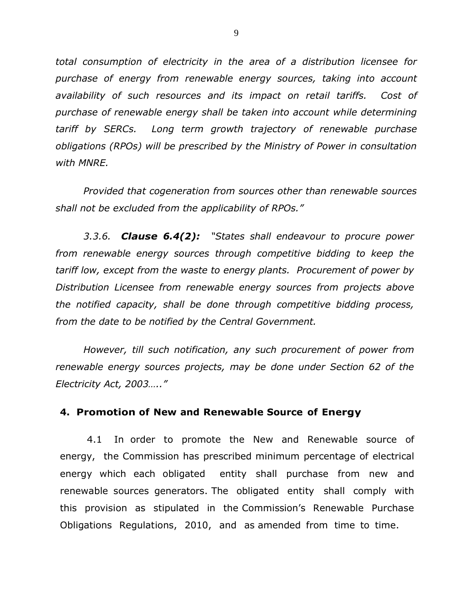*total consumption of electricity in the area of a distribution licensee for purchase of energy from renewable energy sources, taking into account availability of such resources and its impact on retail tariffs. Cost of purchase of renewable energy shall be taken into account while determining tariff by SERCs. Long term growth trajectory of renewable purchase obligations (RPOs) will be prescribed by the Ministry of Power in consultation with MNRE.*

*Provided that cogeneration from sources other than renewable sources shall not be excluded from the applicability of RPOs."*

*3.3.6. Clause 6.4(2): "States shall endeavour to procure power from renewable energy sources through competitive bidding to keep the tariff low, except from the waste to energy plants. Procurement of power by Distribution Licensee from renewable energy sources from projects above the notified capacity, shall be done through competitive bidding process, from the date to be notified by the Central Government.*

*However, till such notification, any such procurement of power from renewable energy sources projects, may be done under Section 62 of the Electricity Act, 2003….."* 

#### **4. Promotion of New and Renewable Source of Energy**

4.1 In order to promote the New and Renewable source of energy, the Commission has prescribed minimum percentage of electrical energy which each obligated entity shall purchase from new and renewable sources generators. The obligated entity shall comply with this provision as stipulated in the Commission's Renewable Purchase Obligations Regulations, 2010, and as amended from time to time.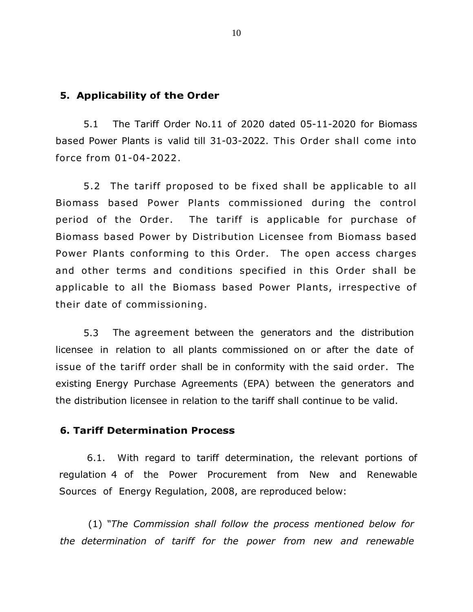#### **5. Applicability of the Order**

5.1 The Tariff Order No.11 of 2020 dated 05-11-2020 for Biomass based Power Plants is valid till 31-03-2022. This Order shall come into force from 01-04-2022.

5.2 The tariff proposed to be fixed shall be applicable to all Biomass based Power Plants commissioned during the control period of the Order. The tariff is applicable for purchase of Biomass based Power by Distribution Licensee from Biomass based Power Plants conforming to this Order. The open access charges and other terms and conditions specified in this Order shall be applicable to all the Biomass based Power Plants, irrespective of their date of commissioning.

5.3 The agreement between the generators and the distribution licensee in relation to all plants commissioned on or after the date of issue of the tariff order shall be in conformity with the said order. The existing Energy Purchase Agreements (EPA) between the generators and the distribution licensee in relation to the tariff shall continue to be valid.

## **6. Tariff Determination Process**

6.1. With regard to tariff determination, the relevant portions of regulation 4 of the Power Procurement from New and Renewable Sources of Energy Regulation, 2008, are reproduced below:

(1) *"The Commission shall follow the process mentioned below for the determination of tariff for the power from new and renewable*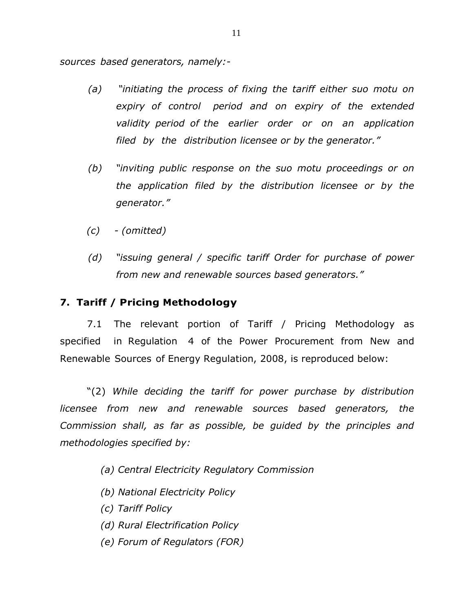*sources based generators, namely:-*

- *(a) "initiating the process of fixing the tariff either suo motu on expiry of control period and on expiry of the extended validity period of the earlier order or on an application filed by the distribution licensee or by the generator."*
- *(b) "inviting public response on the suo motu proceedings or on the application filed by the distribution licensee or by the generator."*
- *(c) - (omitted)*
- *(d) "issuing general / specific tariff Order for purchase of power from new and renewable sources based generators."*

#### **7. Tariff / Pricing Methodology**

7.1 The relevant portion of Tariff / Pricing Methodology as specified in Regulation 4 of the Power Procurement from New and Renewable Sources of Energy Regulation, 2008, is reproduced below:

"(2) *While deciding the tariff for power purchase by distribution licensee from new and renewable sources based generators, the Commission shall, as far as possible, be guided by the principles and methodologies specified by:*

- *(a) Central Electricity Regulatory Commission*
- *(b) National Electricity Policy*
- *(c) Tariff Policy*
- *(d) Rural Electrification Policy*
- *(e) Forum of Regulators (FOR)*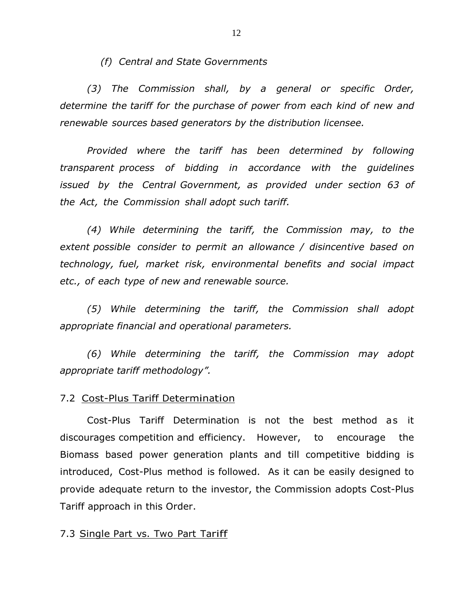*(f) Central and State Governments*

*(3) The Commission shall, by a general or specific Order, determine the tariff for the purchase of power from each kind of new and renewable sources based generators by the distribution licensee.*

*Provided where the tariff has been determined by following transparent process of bidding in accordance with the guidelines issued by the Central Government, as provided under section 63 of the Act, the Commission shall adopt such tariff.*

*(4) While determining the tariff, the Commission may, to the extent possible consider to permit an allowance / disincentive based on technology, fuel, market risk, environmental benefits and social impact etc., of each type of new and renewable source.*

*(5) While determining the tariff, the Commission shall adopt appropriate financial and operational parameters.*

*(6) While determining the tariff, the Commission may adopt appropriate tariff methodology".*

#### 7.2 Cost-Plus Tariff Determination

Cost-Plus Tariff Determination is not the best method as it discourages competition and efficiency. However, to encourage the Biomass based power generation plants and till competitive bidding is introduced, Cost-Plus method is followed. As it can be easily designed to provide adequate return to the investor, the Commission adopts Cost-Plus Tariff approach in this Order.

7.3 Single Part vs. Two Part Tariff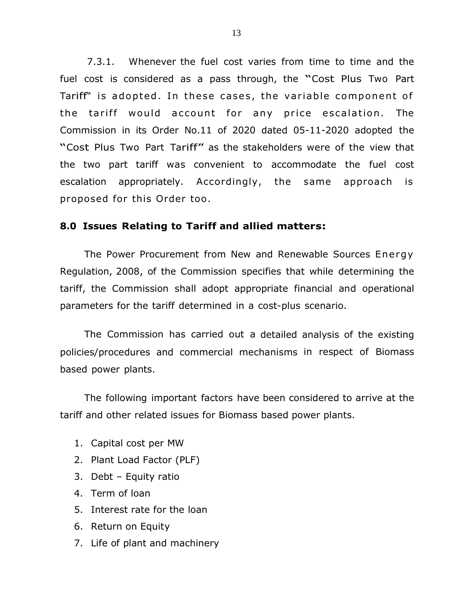7.3.1. Whenever the fuel cost varies from time to time and the fuel cost is considered as <sup>a</sup> pass through, the "Cost Plus Two Part Tariff" is adopted. In these cases, the variable component of the tariff would account for any price escalation. The Commission in its Order No.11 of 2020 dated 05-11-2020 adopted the "Cost Plus Two Part Tariff" as the stakeholders were of the view that the two part tariff was convenient to accommodate the fuel cost escalation appropriately. Accordingly, the same approach is proposed for this Order too .

## **8.0 Issues Relating to Tariff and allied matters:**

The Power Procurement from New and Renewable Sources Energy Regulation, 2008, of the Commission specifies that while determining the tariff, the Commission shall adopt appropriate financial and operational parameters for the tariff determined in a cost-plus scenario.

The Commission has carried out a detailed analysis of the existing policies/procedures and commercial mechanisms in respect of Biomass based power plants.

The following important factors have been considered to arrive at the tariff and other related issues for Biomass based power plants.

- 1. Capital cost per MW
- 2. Plant Load Factor (PLF)
- 3. Debt Equity ratio
- 4. Term of loan
- 5. Interest rate for the loan
- 6. Return on Equity
- 7. Life of plant and machinery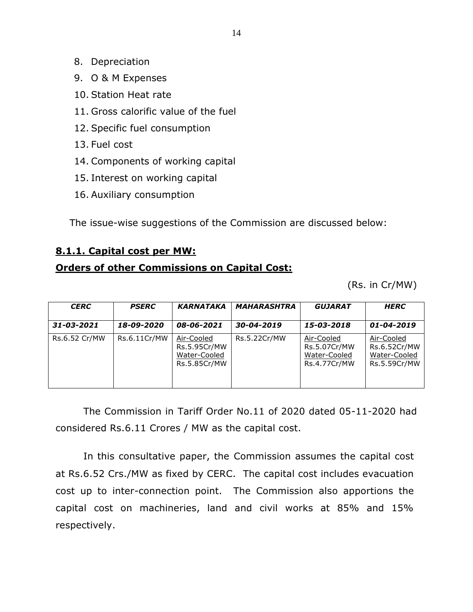- 8. Depreciation
- 9. O & M Expenses
- 10. Station Heat rate
- 11. Gross calorific value of the fuel
- 12. Specific fuel consumption
- 13. Fuel cost
- 14. Components of working capital
- 15. Interest on working capital
- 16. Auxiliary consumption

The issue-wise suggestions of the Commission are discussed below:

## **8.1.1. Capital cost per MW:**

## **Orders of other Commissions on Capital Cost:**

(Rs. in Cr/MW)

| <b>CERC</b>   | <b>PSERC</b> | <b>KARNATAKA</b>                                           | <b>MAHARASHTRA</b> | <b>GUJARAT</b>                                             | <b>HERC</b>                                                |
|---------------|--------------|------------------------------------------------------------|--------------------|------------------------------------------------------------|------------------------------------------------------------|
| 31-03-2021    | 18-09-2020   | 08-06-2021                                                 | 30-04-2019         | 15-03-2018                                                 | 01-04-2019                                                 |
| Rs.6.52 Cr/MW | Rs.6.11Cr/MW | Air-Cooled<br>Rs.5.95Cr/MW<br>Water-Cooled<br>Rs.5.85Cr/MW | Rs.5.22Cr/MW       | Air-Cooled<br>Rs.5.07Cr/MW<br>Water-Cooled<br>Rs.4.77Cr/MW | Air-Cooled<br>Rs.6.52Cr/MW<br>Water-Cooled<br>Rs.5.59Cr/MW |

The Commission in Tariff Order No.11 of 2020 dated 05-11-2020 had considered Rs.6.11 Crores / MW as the capital cost.

In this consultative paper, the Commission assumes the capital cost at Rs.6.52 Crs./MW as fixed by CERC. The capital cost includes evacuation cost up to inter-connection point. The Commission also apportions the capital cost on machineries, land and civil works at 85% and 15% respectively.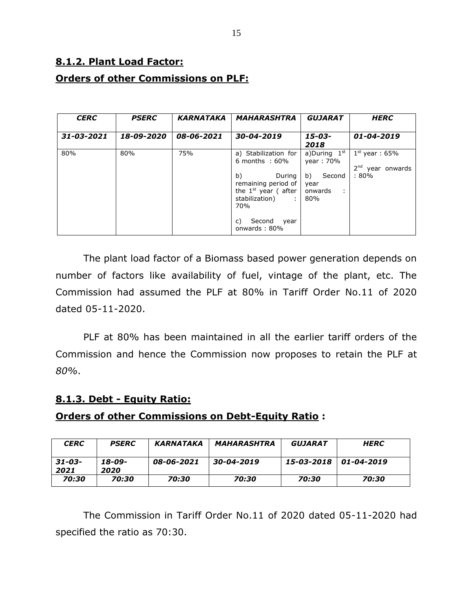# **8.1.2. Plant Load Factor: Orders of other Commissions on PLF:**

| <b>CERC</b> | <b>PSERC</b> | <b>KARNATAKA</b> | <b>MAHARASHTRA</b>                                                                                                                                                                                         | <b>GUJARAT</b>                                                             | <b>HERC</b>                                                |
|-------------|--------------|------------------|------------------------------------------------------------------------------------------------------------------------------------------------------------------------------------------------------------|----------------------------------------------------------------------------|------------------------------------------------------------|
| 31-03-2021  | 18-09-2020   | 08-06-2021       | 30-04-2019                                                                                                                                                                                                 | 15-03-<br>2018                                                             | 01-04-2019                                                 |
| 80%         | 80%          | 75%              | a) Stabilization for<br>6 months $:60\%$<br>b)<br>During<br>remaining period of<br>the $1^{st}$ year (after<br>stabilization)<br>$\sim 10^{-1}$<br>70 <sub>%</sub><br>Second<br>C)<br>year<br>onwards: 80% | a)During $1st$<br>year: 70%<br>b)<br>Second<br>year<br>onwards<br>÷<br>80% | $1st$ year: 65%<br>2 <sup>nd</sup> year onwards<br>$:80\%$ |

The plant load factor of a Biomass based power generation depends on number of factors like availability of fuel, vintage of the plant, etc. The Commission had assumed the PLF at 80% in Tariff Order No.11 of 2020 dated 05-11-2020.

PLF at 80% has been maintained in all the earlier tariff orders of the Commission and hence the Commission now proposes to retain the PLF at *80%*.

## **8.1.3. Debt - Equity Ratio:**

## **Orders of other Commissions on Debt-Equity Ratio :**

| <b>CERC</b>         | <b>PSERC</b>   | KARNATAKA  | MAHARASHTRA | <i><b>GUJARAT</b></i> | <b>HERC</b> |
|---------------------|----------------|------------|-------------|-----------------------|-------------|
| $31 - 03 -$<br>2021 | 18-09-<br>2020 | 08-06-2021 | 30-04-2019  | 15-03-2018            | 01-04-2019  |
| 70:30               | 70:30          | 70:30      | 70:30       | 70:30                 | 70:30       |

The Commission in Tariff Order No.11 of 2020 dated 05-11-2020 had specified the ratio as 70:30.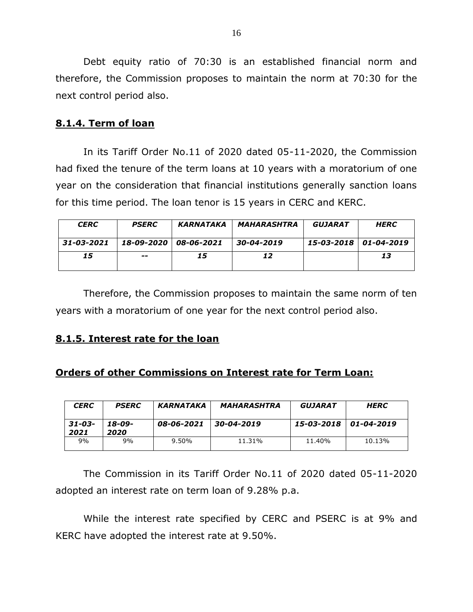Debt equity ratio of 70:30 is an established financial norm and therefore, the Commission proposes to maintain the norm at 70:30 for the next control period also.

## **8.1.4. Term of loan**

In its Tariff Order No.11 of 2020 dated 05-11-2020, the Commission had fixed the tenure of the term loans at 10 years with a moratorium of one year on the consideration that financial institutions generally sanction loans for this time period. The loan tenor is 15 years in CERC and KERC.

| <b>CERC</b> | <b>PSERC</b> | KARNATAKA  | MAHARASHTRA | GUJARAT               | <b>HERC</b> |
|-------------|--------------|------------|-------------|-----------------------|-------------|
| 31-03-2021  | 18-09-2020   | 08-06-2021 | 30-04-2019  | 15-03-2018 01-04-2019 |             |
| 15          | $- -$        | 15         | 12          |                       | 13          |

Therefore, the Commission proposes to maintain the same norm of ten years with a moratorium of one year for the next control period also.

#### **8.1.5. Interest rate for the loan**

## **Orders of other Commissions on Interest rate for Term Loan:**

| <b>CERC</b>         | <b>PSERC</b>   | <b>KARNATAKA</b> | <b>MAHARASHTRA</b> | GUJARAT    | <b>HERC</b> |
|---------------------|----------------|------------------|--------------------|------------|-------------|
| $31 - 03 -$<br>2021 | 18-09-<br>2020 | 08-06-2021       | 30-04-2019         | 15-03-2018 | 01-04-2019  |
| 9%                  | 9%             | 9.50%            | 11.31%             | 11.40%     | 10.13%      |

The Commission in its Tariff Order No.11 of 2020 dated 05-11-2020 adopted an interest rate on term loan of 9.28% p.a.

While the interest rate specified by CERC and PSERC is at 9% and KERC have adopted the interest rate at 9.50%.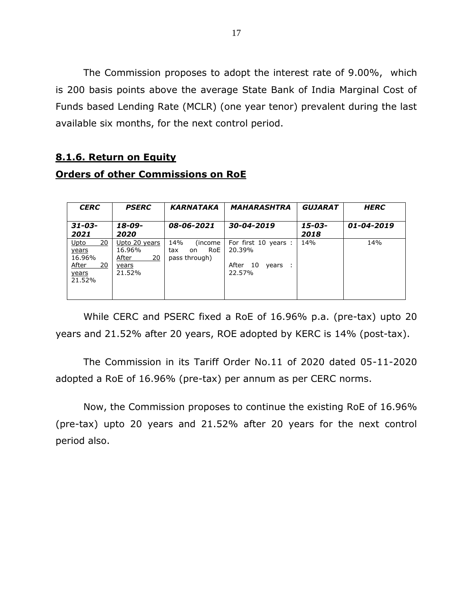The Commission proposes to adopt the interest rate of 9.00%, which is 200 basis points above the average State Bank of India Marginal Cost of Funds based Lending Rate (MCLR) (one year tenor) prevalent during the last available six months, for the next control period.

## **8.1.6. Return on Equity**

## **Orders of other Commissions on RoE**

| <b>CERC</b>                                                            | <b>PSERC</b>                                              | <b>KARNATAKA</b>                                    | <b>MAHARASHTRA</b>                                               | <b>GUJARAT</b> | <b>HERC</b> |
|------------------------------------------------------------------------|-----------------------------------------------------------|-----------------------------------------------------|------------------------------------------------------------------|----------------|-------------|
| $31 - 03 -$<br>2021                                                    | 18-09-<br>2020                                            | 08-06-2021                                          | 30-04-2019                                                       | 15-03-<br>2018 | 01-04-2019  |
| 20<br>Upto<br>years<br>16.96%<br>After<br>20<br><u>years</u><br>21.52% | Upto 20 years<br>16.96%<br>20<br>After<br>years<br>21.52% | 14%<br>(income<br>RoE<br>tax<br>on<br>pass through) | For first 10 years :<br>20.39%<br>After<br>10<br>vears<br>22.57% | 14%            | 14%         |

While CERC and PSERC fixed a RoE of 16.96% p.a. (pre-tax) upto 20 years and 21.52% after 20 years, ROE adopted by KERC is 14% (post-tax).

The Commission in its Tariff Order No.11 of 2020 dated 05-11-2020 adopted a RoE of 16.96% (pre-tax) per annum as per CERC norms.

Now, the Commission proposes to continue the existing RoE of 16.96% (pre-tax) upto 20 years and 21.52% after 20 years for the next control period also.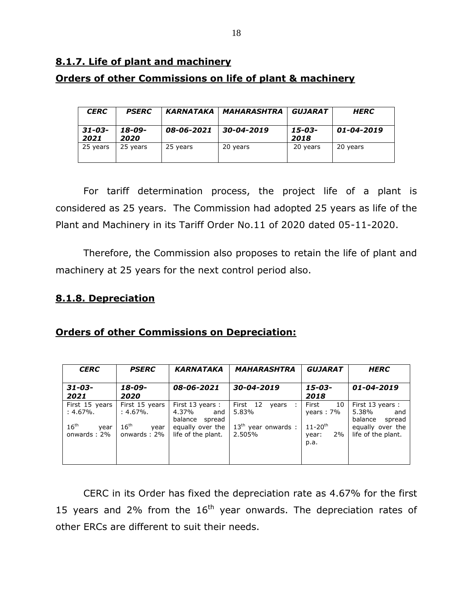# **8.1.7. Life of plant and machinery Orders of other Commissions on life of plant & machinery**

| <b>CERC</b>         | <b>PSERC</b>   | <b>KARNATAKA</b> | <i><b>MAHARASHTRA</b></i> | GUJARAT        | <b>HERC</b> |
|---------------------|----------------|------------------|---------------------------|----------------|-------------|
| $31 - 03 -$<br>2021 | 18-09-<br>2020 | 08-06-2021       | 30-04-2019                | 15-03-<br>2018 | 01-04-2019  |
| 25 years            | 25 years       | 25 years         | 20 years                  | 20 years       | 20 years    |

For tariff determination process, the project life of a plant is considered as 25 years. The Commission had adopted 25 years as life of the Plant and Machinery in its Tariff Order No.11 of 2020 dated 05-11-2020.

Therefore, the Commission also proposes to retain the life of plant and machinery at 25 years for the next control period also.

## **8.1.8. Depreciation**

## **Orders of other Commissions on Depreciation:**

| <b>CERC</b>                                                          | <b>PSERC</b>                                                         | <b>KARNATAKA</b>                                                                               | <b>MAHARASHTRA</b>                                                   | <b>GUJARAT</b>                                                                | <b>HERC</b>                                                                                    |
|----------------------------------------------------------------------|----------------------------------------------------------------------|------------------------------------------------------------------------------------------------|----------------------------------------------------------------------|-------------------------------------------------------------------------------|------------------------------------------------------------------------------------------------|
| $31 - 03 -$<br>2021                                                  | 18-09-<br>2020                                                       | 08-06-2021                                                                                     | 30-04-2019                                                           | $15 - 03 -$<br>2018                                                           | 01-04-2019                                                                                     |
| First 15 years<br>:4.67%.<br>16 <sup>th</sup><br>year<br>onwards: 2% | First 15 years<br>:4.67%.<br>16 <sup>th</sup><br>year<br>onwards: 2% | First 13 years:<br>4.37%<br>and<br>balance<br>spread<br>equally over the<br>life of the plant. | First 12<br>vears<br>-11<br>5.83%<br>$13th$ year onwards :<br>2.505% | First<br>10<br>years: $7\%$<br>$11 - 20$ <sup>th</sup><br>2%<br>year:<br>p.a. | First 13 years:<br>5.38%<br>and<br>balance<br>spread<br>equally over the<br>life of the plant. |

CERC in its Order has fixed the depreciation rate as 4.67% for the first 15 years and 2% from the  $16<sup>th</sup>$  year onwards. The depreciation rates of other ERCs are different to suit their needs.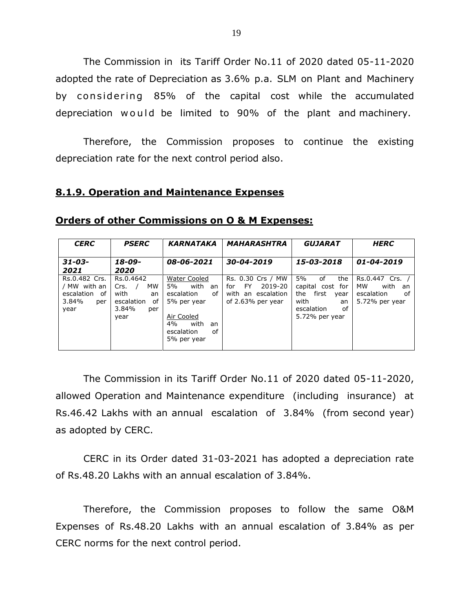The Commission in its Tariff Order No.11 of 2020 dated 05-11-2020 adopted the rate of Depreciation as 3.6% p.a. SLM on Plant and Machinery by considering 85% of the capital cost while the accumulated depreciation would be limited to 90% of the plant and machinery.

Therefore, the Commission proposes to continue the existing depreciation rate for the next control period also.

#### **8.1.9. Operation and Maintenance Expenses**

| <b>CERC</b>                                                               | <b>PSERC</b>                                                                          | <b>KARNATAKA</b>                                                                                                                      | <b>MAHARASHTRA</b>                                                                    | <b>GUJARAT</b>                                                                                                  | <b>HERC</b>                                                             |
|---------------------------------------------------------------------------|---------------------------------------------------------------------------------------|---------------------------------------------------------------------------------------------------------------------------------------|---------------------------------------------------------------------------------------|-----------------------------------------------------------------------------------------------------------------|-------------------------------------------------------------------------|
| $31 - 03 -$<br>2021                                                       | 18-09-<br>2020                                                                        | 08-06-2021                                                                                                                            | 30-04-2019                                                                            | 15-03-2018                                                                                                      | $01 - 04 - 2019$                                                        |
| Rs.0.482 Crs.<br>/ MW with an<br>escalation<br>of<br>3.84%<br>per<br>year | Rs.0.4642<br>MW<br>$Crs.$ /<br>with<br>an<br>escalation<br>оf<br>3.84%<br>per<br>year | Water Cooled<br>with an<br>5%<br>escalation<br>of<br>5% per year<br>Air Cooled<br>4%<br>with<br>an<br>escalation<br>οf<br>5% per year | Rs. 0.30 Crs / MW<br>2019-20<br>FY.<br>for<br>with an escalation<br>of 2.63% per year | 5%<br>of<br>the<br>capital cost for<br>first<br>the<br>year<br>with<br>an<br>escalation<br>οf<br>5.72% per year | Rs.0.447 Crs.<br>with<br>мw<br>an<br>escalation<br>of<br>5.72% per year |

#### **Orders of other Commissions on O & M Expenses:**

The Commission in its Tariff Order No.11 of 2020 dated 05-11-2020, allowed Operation and Maintenance expenditure (including insurance) at Rs.46.42 Lakhs with an annual escalation of 3.84% (from second year) as adopted by CERC.

CERC in its Order dated 31-03-2021 has adopted a depreciation rate of Rs.48.20 Lakhs with an annual escalation of 3.84%.

Therefore, the Commission proposes to follow the same O&M Expenses of Rs.48.20 Lakhs with an annual escalation of 3.84% as per CERC norms for the next control period.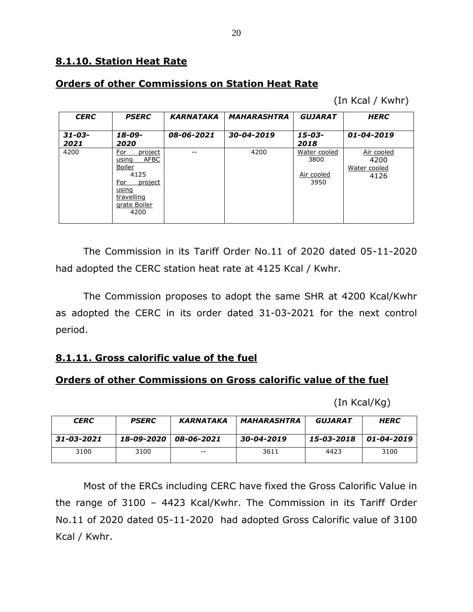## **Orders of other Commissions on Station Heat Rate**

(In Kcal / Kwhr)

| <b>CERC</b>         | <b>PSERC</b>                                                                                                                     | <b>KARNATAKA</b> | <b>MAHARASHTRA</b> | <b>GUJARAT</b>                             | <b>HERC</b>                                |
|---------------------|----------------------------------------------------------------------------------------------------------------------------------|------------------|--------------------|--------------------------------------------|--------------------------------------------|
| $31 - 03 -$<br>2021 | 18-09-<br>2020                                                                                                                   | 08-06-2021       | 30-04-2019         | $15 - 03 -$<br>2018                        | 01-04-2019                                 |
| 4200                | <u>For</u><br>project<br><b>AFBC</b><br>using<br>Boiler<br>4125<br>project<br>For<br>using<br>travelling<br>grate Boiler<br>4200 | --               | 4200               | Water cooled<br>3800<br>Air cooled<br>3950 | Air cooled<br>4200<br>Water cooled<br>4126 |

The Commission in its Tariff Order No.11 of 2020 dated 05-11-2020 had adopted the CERC station heat rate at 4125 Kcal / Kwhr.

The Commission proposes to adopt the same SHR at 4200 Kcal/Kwhr as adopted the CERC in its order dated 31-03-2021 for the next control period.

## **8.1.11. Gross calorific value of the fuel**

## **Orders of other Commissions on Gross calorific value of the fuel**

(In Kcal/Kg)

| <b>CERC</b> | <b>PSERC</b> | KARNATAKA  | MAHARASHTRA | <i><b>GUJARAT</b></i> | <b>HERC</b> |  |  |
|-------------|--------------|------------|-------------|-----------------------|-------------|--|--|
| 31-03-2021  | 18-09-2020   | 08-06-2021 | 30-04-2019  | 15-03-2018            | 01-04-2019  |  |  |
| 3100        | 3100         | $- -$      | 3611        | 4423                  | 3100        |  |  |

Most of the ERCs including CERC have fixed the Gross Calorific Value in the range of 3100 – 4423 Kcal/Kwhr. The Commission in its Tariff Order No.11 of 2020 dated 05-11-2020 had adopted Gross Calorific value of 3100 Kcal / Kwhr.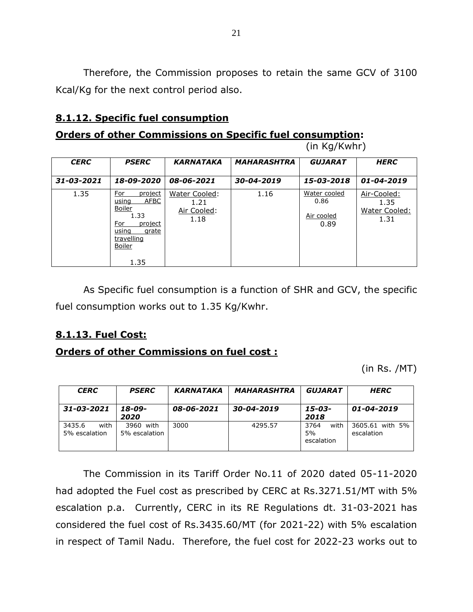Therefore, the Commission proposes to retain the same GCV of 3100 Kcal/Kg for the next control period also.

## **8.1.12. Specific fuel consumption**

## **Orders of other Commissions on Specific fuel consumption:**

(in Kg/Kwhr)

| <b>CERC</b> | <b>PSERC</b>                                                                                                                 | <b>KARNATAKA</b>                             | <b>MAHARASHTRA</b> | <b>GUJARAT</b>                             | <b>HERC</b>                                  |
|-------------|------------------------------------------------------------------------------------------------------------------------------|----------------------------------------------|--------------------|--------------------------------------------|----------------------------------------------|
| 31-03-2021  | 18-09-2020                                                                                                                   | 08-06-2021                                   | 30-04-2019         | 15-03-2018                                 | 01-04-2019                                   |
| 1.35        | For<br>project<br><b>AFBC</b><br>using<br>Boiler<br>1.33<br>For<br>project<br>using<br>grate<br>travelling<br>Boiler<br>1.35 | Water Cooled:<br>1.21<br>Air Cooled:<br>1.18 | 1.16               | Water cooled<br>0.86<br>Air cooled<br>0.89 | Air-Cooled:<br>1.35<br>Water Cooled:<br>1.31 |

As Specific fuel consumption is a function of SHR and GCV, the specific fuel consumption works out to 1.35 Kg/Kwhr.

## **8.1.13. Fuel Cost:**

#### **Orders of other Commissions on fuel cost :**

(in Rs. /MT)

| <b>CERC</b>                     | <b>PSERC</b>               | <b>KARNATAKA</b> | <b>MAHARASHTRA</b> | <b>GUJARAT</b>                   | <b>HERC</b>                   |  |  |
|---------------------------------|----------------------------|------------------|--------------------|----------------------------------|-------------------------------|--|--|
| 31-03-2021                      | 18-09-<br>2020             | 08-06-2021       | 30-04-2019         | 15-03-<br>2018                   | 01-04-2019                    |  |  |
| 3435.6<br>with<br>5% escalation | 3960 with<br>5% escalation | 3000             | 4295.57            | 3764<br>with<br>5%<br>escalation | 3605.61 with 5%<br>escalation |  |  |

The Commission in its Tariff Order No.11 of 2020 dated 05-11-2020 had adopted the Fuel cost as prescribed by CERC at Rs.3271.51/MT with 5% escalation p.a. Currently, CERC in its RE Regulations dt. 31-03-2021 has considered the fuel cost of Rs.3435.60/MT (for 2021-22) with 5% escalation in respect of Tamil Nadu. Therefore, the fuel cost for 2022-23 works out to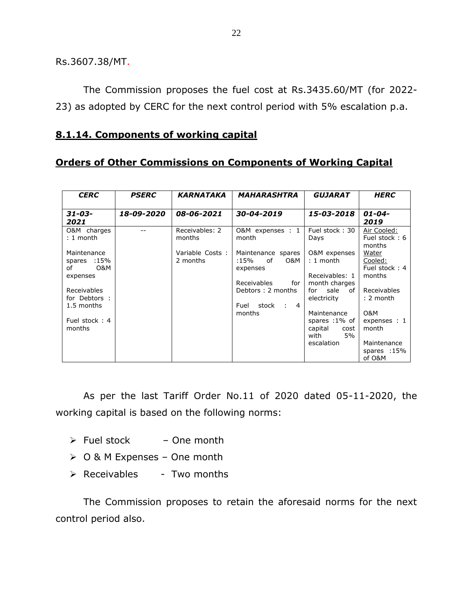Rs.3607.38/MT.

The Commission proposes the fuel cost at Rs.3435.60/MT (for 2022- 23) as adopted by CERC for the next control period with 5% escalation p.a.

### **8.1.14. Components of working capital**

## **Orders of Other Commissions on Components of Working Capital**

| <b>CERC</b>                                                    | <b>KARNATAKA</b><br><b>PSERC</b> |                             | <b>MAHARASHTRA</b>                                                         | <b>GUJARAT</b>                                                | <b>HERC</b>                                 |  |  |  |  |
|----------------------------------------------------------------|----------------------------------|-----------------------------|----------------------------------------------------------------------------|---------------------------------------------------------------|---------------------------------------------|--|--|--|--|
| $31 - 03 -$<br>2021                                            | 18-09-2020                       | 08-06-2021                  | 30-04-2019                                                                 | 15-03-2018                                                    | $01 - 04 -$<br>2019                         |  |  |  |  |
| O&M charges<br>$: 1$ month                                     |                                  | Receivables: 2<br>months    | O&M expenses : 1<br>month                                                  | Fuel stock: 30<br>Days                                        | Air Cooled:<br>Fuel stock: 6<br>months      |  |  |  |  |
| Maintenance<br>spares :15%<br><b>O&amp;M</b><br>of<br>expenses |                                  | Variable Costs:<br>2 months | Maintenance spares<br>O&M<br>of<br>:15%<br>expenses                        | O&M expenses<br>$: 1$ month<br>Receivables: 1                 | Water<br>Cooled:<br>Fuel stock: 4<br>months |  |  |  |  |
| Receivables<br>for Debtors :<br>1.5 months                     |                                  |                             | Receivables<br>for<br>Debtors: 2 months<br>Fuel<br>stock<br>$\therefore$ 4 | month charges<br>sale<br>for<br>of<br>electricity             | Receivables<br>$: 2$ month                  |  |  |  |  |
| Fuel stock: 4<br>months                                        |                                  |                             | months                                                                     | Maintenance<br>spares :1% of<br>capital<br>cost<br>with<br>5% | <b>O&amp;M</b><br>expenses : 1<br>month     |  |  |  |  |
|                                                                |                                  |                             |                                                                            | escalation                                                    | Maintenance<br>spares :15%<br>of O&M        |  |  |  |  |

As per the last Tariff Order No.11 of 2020 dated 05-11-2020, the working capital is based on the following norms:

- $\triangleright$  Fuel stock One month
- $\geqslant$  0 & M Expenses One month
- $\triangleright$  Receivables Two months

The Commission proposes to retain the aforesaid norms for the next control period also.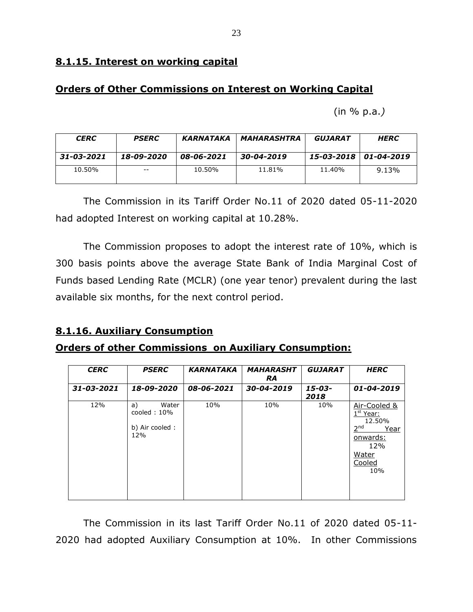## **8.1.15. Interest on working capital**

## **Orders of Other Commissions on Interest on Working Capital**

(in % p.a.*)*

| <b>CERC</b> | <b>PSERC</b> | KARNATAKA  | <b>MAHARASHTRA</b> | <b>GUJARAT</b>          | <b>HERC</b> |  |  |
|-------------|--------------|------------|--------------------|-------------------------|-------------|--|--|
| 31-03-2021  | 18-09-2020   | 08-06-2021 | 30-04-2019         | 15-03-2018   01-04-2019 |             |  |  |
| 10.50%      | $- -$        | 10.50%     | 11.81%             | 11.40%                  | 9.13%       |  |  |

The Commission in its Tariff Order No.11 of 2020 dated 05-11-2020 had adopted Interest on working capital at 10.28%.

The Commission proposes to adopt the interest rate of 10%, which is 300 basis points above the average State Bank of India Marginal Cost of Funds based Lending Rate (MCLR) (one year tenor) prevalent during the last available six months, for the next control period.

## **8.1.16. Auxiliary Consumption**

## **Orders of other Commissions on Auxiliary Consumption:**

| <b>CERC</b> | <b>PSERC</b>                                                  | <b>KARNATAKA</b> | <b>MAHARASHT</b><br><b>RA</b> | <b>GUJARAT</b> | <b>HERC</b>                                                                                                             |
|-------------|---------------------------------------------------------------|------------------|-------------------------------|----------------|-------------------------------------------------------------------------------------------------------------------------|
| 31-03-2021  | 18-09-2020                                                    | 08-06-2021       | 30-04-2019                    | 15-03-<br>2018 | 01-04-2019                                                                                                              |
| 12%         | Water<br>a)<br>$\text{cooled}: 10\%$<br>b) Air cooled:<br>12% | 10%              | 10%                           | 10%            | Air-Cooled &<br>1 <sup>st</sup> Year:<br>12.50%<br>2 <sup>nd</sup><br>Year<br>onwards:<br>12%<br>Water<br>Cooled<br>10% |

The Commission in its last Tariff Order No.11 of 2020 dated 05-11- 2020 had adopted Auxiliary Consumption at 10%. In other Commissions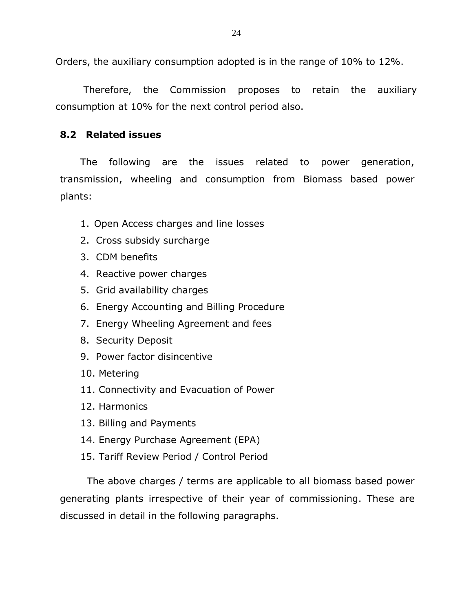Orders, the auxiliary consumption adopted is in the range of 10% to 12%.

Therefore, the Commission proposes to retain the auxiliary consumption at 10% for the next control period also.

## **8.2 Related issues**

The following are the issues related to power generation, transmission, wheeling and consumption from Biomass based power plants:

- 1. Open Access charges and line losses
- 2. Cross subsidy surcharge
- 3. CDM benefits
- 4. Reactive power charges
- 5. Grid availability charges
- 6. Energy Accounting and Billing Procedure
- 7. Energy Wheeling Agreement and fees
- 8. Security Deposit
- 9. Power factor disincentive
- 10. Metering
- 11. Connectivity and Evacuation of Power
- 12. Harmonics
- 13. Billing and Payments
- 14. Energy Purchase Agreement (EPA)
- 15. Tariff Review Period / Control Period

The above charges / terms are applicable to all biomass based power generating plants irrespective of their year of commissioning. These are discussed in detail in the following paragraphs.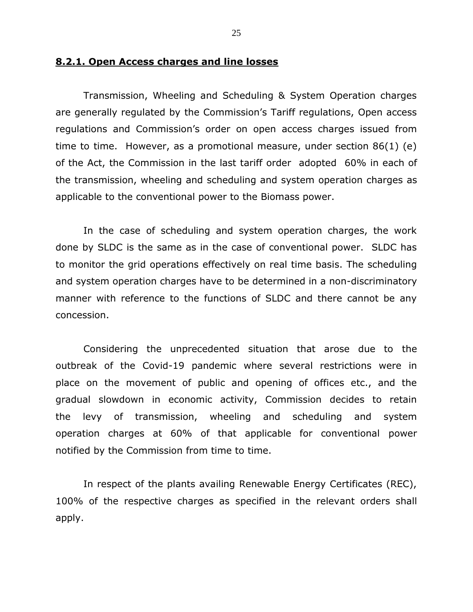#### **8.2.1. Open Access charges and line losses**

Transmission, Wheeling and Scheduling & System Operation charges are generally regulated by the Commission's Tariff regulations, Open access regulations and Commission's order on open access charges issued from time to time. However, as a promotional measure, under section 86(1) (e) of the Act, the Commission in the last tariff order adopted 60% in each of the transmission, wheeling and scheduling and system operation charges as applicable to the conventional power to the Biomass power.

In the case of scheduling and system operation charges, the work done by SLDC is the same as in the case of conventional power. SLDC has to monitor the grid operations effectively on real time basis. The scheduling and system operation charges have to be determined in a non-discriminatory manner with reference to the functions of SLDC and there cannot be any concession.

Considering the unprecedented situation that arose due to the outbreak of the Covid-19 pandemic where several restrictions were in place on the movement of public and opening of offices etc., and the gradual slowdown in economic activity, Commission decides to retain the levy of transmission, wheeling and scheduling and system operation charges at 60% of that applicable for conventional power notified by the Commission from time to time.

In respect of the plants availing Renewable Energy Certificates (REC), 100% of the respective charges as specified in the relevant orders shall apply.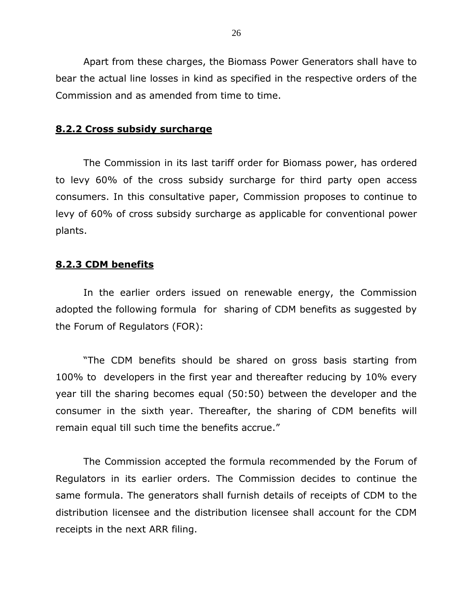Apart from these charges, the Biomass Power Generators shall have to bear the actual line losses in kind as specified in the respective orders of the Commission and as amended from time to time.

#### **8.2.2 Cross subsidy surcharge**

The Commission in its last tariff order for Biomass power, has ordered to levy 60% of the cross subsidy surcharge for third party open access consumers. In this consultative paper, Commission proposes to continue to levy of 60% of cross subsidy surcharge as applicable for conventional power plants.

#### **8.2.3 CDM benefits**

In the earlier orders issued on renewable energy, the Commission adopted the following formula for sharing of CDM benefits as suggested by the Forum of Regulators (FOR):

"The CDM benefits should be shared on gross basis starting from 100% to developers in the first year and thereafter reducing by 10% every year till the sharing becomes equal (50:50) between the developer and the consumer in the sixth year. Thereafter, the sharing of CDM benefits will remain equal till such time the benefits accrue."

The Commission accepted the formula recommended by the Forum of Regulators in its earlier orders. The Commission decides to continue the same formula. The generators shall furnish details of receipts of CDM to the distribution licensee and the distribution licensee shall account for the CDM receipts in the next ARR filing.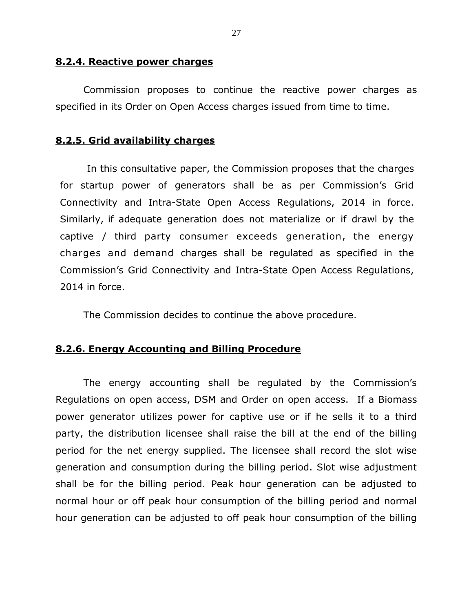#### **8.2.4. Reactive power charges**

Commission proposes to continue the reactive power charges as specified in its Order on Open Access charges issued from time to time.

## **8.2.5. Grid availability charges**

In this consultative paper, the Commission proposes that the charges for startup power of generators shall be as per Commission's Grid Connectivity and Intra-State Open Access Regulations, 2014 in force. Similarly, if adequate generation does not materialize or if drawl by the captive / third party consumer exceeds generation, the energy charges and demand charges shall be regulated as specified in the Commission's Grid Connectivity and Intra-State Open Access Regulations, 2014 in force.

The Commission decides to continue the above procedure.

## **8.2.6. Energy Accounting and Billing Procedure**

The energy accounting shall be regulated by the Commission's Regulations on open access, DSM and Order on open access. If a Biomass power generator utilizes power for captive use or if he sells it to a third party, the distribution licensee shall raise the bill at the end of the billing period for the net energy supplied. The licensee shall record the slot wise generation and consumption during the billing period. Slot wise adjustment shall be for the billing period. Peak hour generation can be adjusted to normal hour or off peak hour consumption of the billing period and normal hour generation can be adjusted to off peak hour consumption of the billing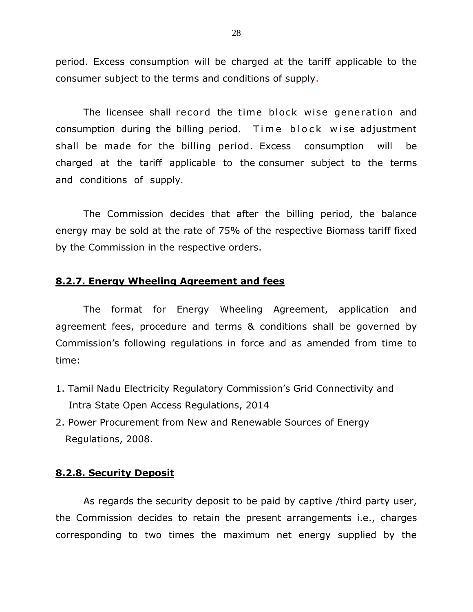period. Excess consumption will be charged at the tariff applicable to the consumer subject to the terms and conditions of supply.

The licensee shall record the time block wise generation and consumption during the billing period. Time block wise adjustment shall be made for the billing period. Excess consumption will be charged at the tariff applicable to the consumer subject to the terms and conditions of supply.

The Commission decides that after the billing period, the balance energy may be sold at the rate of 75% of the respective Biomass tariff fixed by the Commission in the respective orders.

#### **8.2.7. Energy Wheeling Agreement and fees**

The format for Energy Wheeling Agreement, application and agreement fees, procedure and terms & conditions shall be governed by Commission's following regulations in force and as amended from time to time:

- 1. Tamil Nadu Electricity Regulatory Commission's Grid Connectivity and Intra State Open Access Regulations, 2014
- 2. Power Procurement from New and Renewable Sources of Energy Regulations, 2008.

#### **8.2.8. Security Deposit**

As regards the security deposit to be paid by captive /third party user, the Commission decides to retain the present arrangements i.e., charges corresponding to two times the maximum net energy supplied by the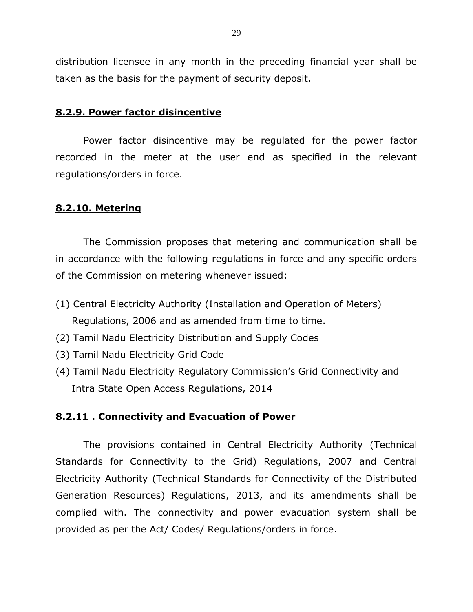distribution licensee in any month in the preceding financial year shall be taken as the basis for the payment of security deposit.

#### **8.2.9. Power factor disincentive**

Power factor disincentive may be regulated for the power factor recorded in the meter at the user end as specified in the relevant regulations/orders in force.

#### **8.2.10. Metering**

The Commission proposes that metering and communication shall be in accordance with the following regulations in force and any specific orders of the Commission on metering whenever issued:

- (1) Central Electricity Authority (Installation and Operation of Meters) Regulations, 2006 and as amended from time to time.
- (2) Tamil Nadu Electricity Distribution and Supply Codes
- (3) Tamil Nadu Electricity Grid Code
- (4) Tamil Nadu Electricity Regulatory Commission's Grid Connectivity and Intra State Open Access Regulations, 2014

#### **8.2.11 . Connectivity and Evacuation of Power**

The provisions contained in Central Electricity Authority (Technical Standards for Connectivity to the Grid) Regulations, 2007 and Central Electricity Authority (Technical Standards for Connectivity of the Distributed Generation Resources) Regulations, 2013, and its amendments shall be complied with. The connectivity and power evacuation system shall be provided as per the Act/ Codes/ Regulations/orders in force.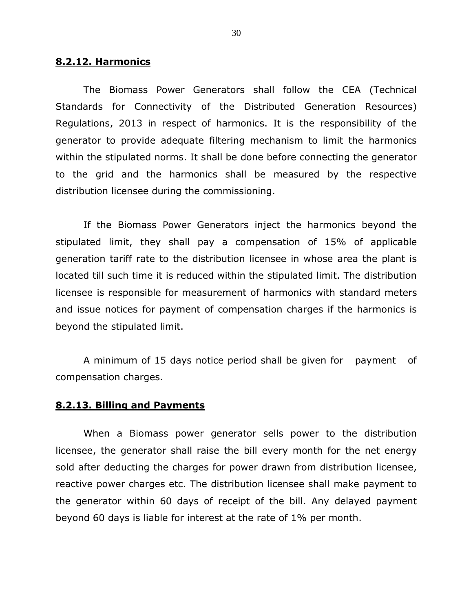#### **8.2.12. Harmonics**

The Biomass Power Generators shall follow the CEA (Technical Standards for Connectivity of the Distributed Generation Resources) Regulations, 2013 in respect of harmonics. It is the responsibility of the generator to provide adequate filtering mechanism to limit the harmonics within the stipulated norms. It shall be done before connecting the generator to the grid and the harmonics shall be measured by the respective distribution licensee during the commissioning.

If the Biomass Power Generators inject the harmonics beyond the stipulated limit, they shall pay a compensation of 15% of applicable generation tariff rate to the distribution licensee in whose area the plant is located till such time it is reduced within the stipulated limit. The distribution licensee is responsible for measurement of harmonics with standard meters and issue notices for payment of compensation charges if the harmonics is beyond the stipulated limit.

A minimum of 15 days notice period shall be given for payment of compensation charges.

#### **8.2.13. Billing and Payments**

When a Biomass power generator sells power to the distribution licensee, the generator shall raise the bill every month for the net energy sold after deducting the charges for power drawn from distribution licensee, reactive power charges etc. The distribution licensee shall make payment to the generator within 60 days of receipt of the bill. Any delayed payment beyond 60 days is liable for interest at the rate of 1% per month.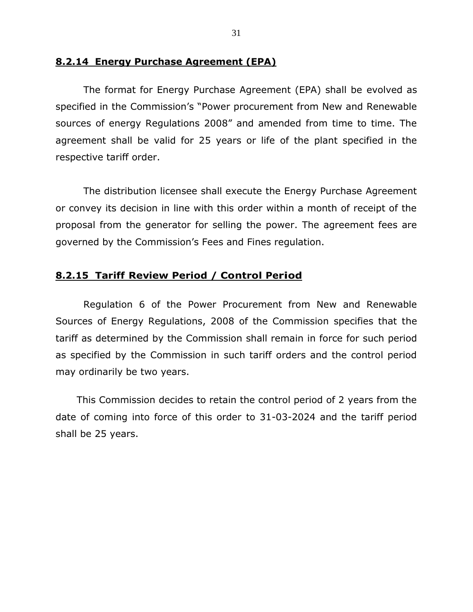#### **8.2.14 Energy Purchase Agreement (EPA)**

The format for Energy Purchase Agreement (EPA) shall be evolved as specified in the Commission's "Power procurement from New and Renewable sources of energy Regulations 2008" and amended from time to time. The agreement shall be valid for 25 years or life of the plant specified in the respective tariff order.

The distribution licensee shall execute the Energy Purchase Agreement or convey its decision in line with this order within a month of receipt of the proposal from the generator for selling the power. The agreement fees are governed by the Commission's Fees and Fines regulation.

#### **8.2.15 Tariff Review Period / Control Period**

Regulation 6 of the Power Procurement from New and Renewable Sources of Energy Regulations, 2008 of the Commission specifies that the tariff as determined by the Commission shall remain in force for such period as specified by the Commission in such tariff orders and the control period may ordinarily be two years.

This Commission decides to retain the control period of 2 years from the date of coming into force of this order to 31-03-2024 and the tariff period shall be 25 years.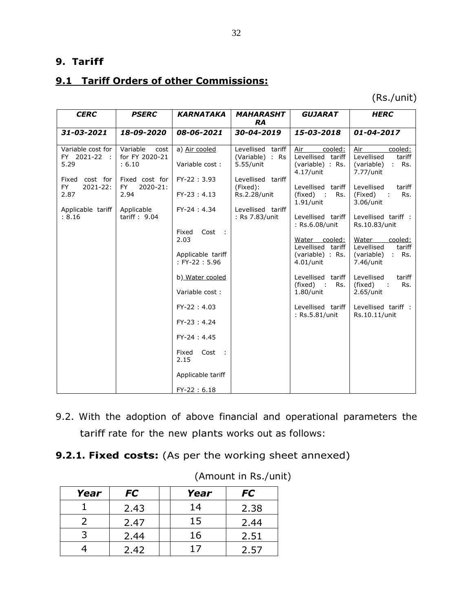## **9. Tariff**

# **9.1 Tariff Orders of other Commissions:**

(Rs./unit)

| <b>CERC</b>                                             | <b>PSERC</b>                                  | <b>KARNATAKA</b>                              | <b>MAHARASHT</b><br><b>RA</b>                     | <b>GUJARAT</b>                                                         | <b>HERC</b>                                                                  |
|---------------------------------------------------------|-----------------------------------------------|-----------------------------------------------|---------------------------------------------------|------------------------------------------------------------------------|------------------------------------------------------------------------------|
| 31-03-2021                                              | 18-09-2020                                    | 08-06-2021                                    | 30-04-2019                                        | 15-03-2018                                                             | 01-04-2017                                                                   |
| Variable cost for<br>FY 2021-22 :<br>5.29               | Variable<br>cost<br>for FY 2020-21<br>: 6.10  | a) Air cooled<br>Variable cost:               | Levellised tariff<br>(Variable) : Rs<br>5.55/unit | Air<br>cooled:<br>Levellised tariff<br>(variable) : Rs.<br>4.17/unit   | Air<br>cooled:<br>Levellised<br>tariff<br>(variable)<br>: Rs.<br>7.77/unit   |
| cost for<br>Fixed<br><b>FY</b><br>$2021 - 22$ :<br>2.87 | Fixed cost for<br>$2020 - 21:$<br>FY.<br>2.94 | FY-22: 3.93<br>$FY-23:4.13$                   | Levellised tariff<br>(Fixed):<br>Rs.2.28/unit     | Levellised tariff<br>(fixed)<br>$\sim$ 1<br>Rs.<br>$1.91$ /unit        | Levellised<br>tariff<br>(Fixed)<br>$\sim$<br>Rs.<br>3.06/unit                |
| Applicable tariff<br>: 8.16                             | Applicable<br>tariff: $9.04$                  | FY-24: 4.34<br>Cost<br>Fixed                  | Levellised tariff<br>: Rs 7.83/unit               | Levellised tariff<br>: Rs.6.08/unit                                    | Levellised tariff :<br>Rs.10.83/unit                                         |
|                                                         |                                               | 2.03<br>Applicable tariff<br>: $FY-22 : 5.96$ |                                                   | Water cooled:<br>Levellised tariff<br>(variable) : Rs.<br>$4.01/$ unit | Water<br>cooled:<br>Levellised<br>tariff<br>(variable)<br>: Rs.<br>7.46/unit |
|                                                         |                                               | b) Water cooled<br>Variable cost:             |                                                   | Levellised tariff<br>(fixed)<br>$\sim$<br>Rs.<br>$1.80$ /unit          | Levellised<br>tariff<br>(fixed)<br>Rs.<br>$\cdot$ :<br>$2.65/$ unit          |
|                                                         |                                               | $FY-22:4.03$<br>$FY-23:4.24$                  |                                                   | Levellised tariff<br>: Rs.5.81/unit                                    | Levellised tariff :<br>Rs.10.11/unit                                         |
|                                                         |                                               | $FY-24:4.45$                                  |                                                   |                                                                        |                                                                              |
|                                                         |                                               | Cost :<br>Fixed<br>2.15                       |                                                   |                                                                        |                                                                              |
|                                                         |                                               | Applicable tariff                             |                                                   |                                                                        |                                                                              |
|                                                         |                                               | $FY-22: 6.18$                                 |                                                   |                                                                        |                                                                              |

- 9.2. With the adoption of above financial and operational parameters the tariff rate for the new plants works out as follows:
- **9.2.1. Fixed costs:** (As per the working sheet annexed)

| Year | <b>FC</b> | Year | <b>FC</b> |
|------|-----------|------|-----------|
|      | 2.43      | 14   | 2.38      |
|      | 2.47      | 15   | 2.44      |
|      | 2.44      | 16   | 2.51      |
|      | 2.42      | 17   | 2.57      |

## (Amount in Rs./unit)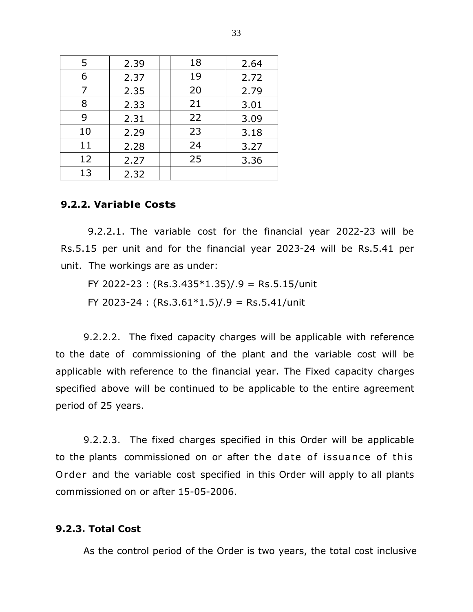| 5  | 2.39 | 18 | 2.64 |
|----|------|----|------|
| 6  | 2.37 | 19 | 2.72 |
| 7  | 2.35 | 20 | 2.79 |
| 8  | 2.33 | 21 | 3.01 |
| 9  | 2.31 | 22 | 3.09 |
| 10 | 2.29 | 23 | 3.18 |
| 11 | 2.28 | 24 | 3.27 |
| 12 | 2.27 | 25 | 3.36 |
| 13 | 2.32 |    |      |

## **9.2.2. Variable Costs**

9.2.2.1. The variable cost for the financial year 2022-23 will be Rs.5.15 per unit and for the financial year 2023-24 will be Rs.5.41 per unit. The workings are as under:

FY 2022-23 : (Rs.3.435\*1.35)/.9 = Rs.5.15/unit

FY 2023-24 :  $(Rs.3.61*1.5)/.9 = Rs.5.41/unit$ 

9.2.2.2. The fixed capacity charges will be applicable with reference to the date of commissioning of the plant and the variable cost will be applicable with reference to the financial year. The Fixed capacity charges specified above will be continued to be applicable to the entire agreement period of 25 years.

9.2.2.3. The fixed charges specified in this Order will be applicable to the plants commissioned on or after the date of issuance of this Order and the variable cost specified in this Order will apply to all plants commissioned on or after 15-05-2006.

#### **9.2.3. Total Cost**

As the control period of the Order is two years, the total cost inclusive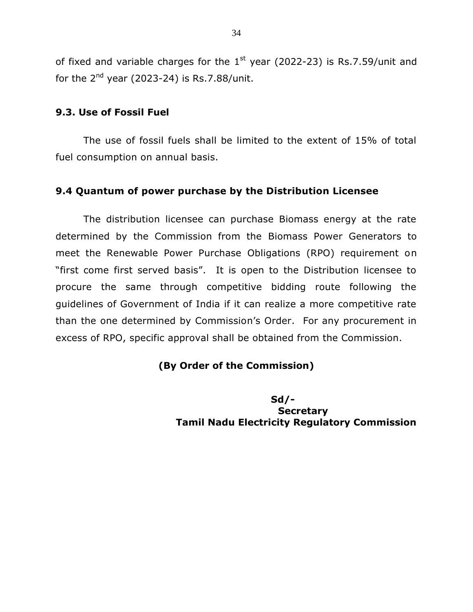of fixed and variable charges for the  $1<sup>st</sup>$  year (2022-23) is Rs.7.59/unit and for the  $2<sup>nd</sup>$  year (2023-24) is Rs.7.88/unit.

## **9.3. Use of Fossil Fuel**

The use of fossil fuels shall be limited to the extent of 15% of total fuel consumption on annual basis.

## **9.4 Quantum of power purchase by the Distribution Licensee**

The distribution licensee can purchase Biomass energy at the rate determined by the Commission from the Biomass Power Generators to meet the Renewable Power Purchase Obligations (RPO) requirement on "first come first served basis". It is open to the Distribution licensee to procure the same through competitive bidding route following the guidelines of Government of India if it can realize a more competitive rate than the one determined by Commission's Order. For any procurement in excess of RPO, specific approval shall be obtained from the Commission.

## **(By Order of the Commission)**

 **Sd/- Secretary Tamil Nadu Electricity Regulatory Commission**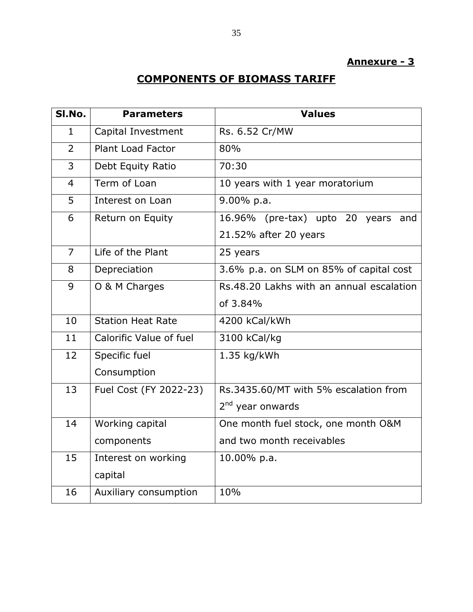# **Annexure - 3**

# **COMPONENTS OF BIOMASS TARIFF**

| SI.No.         | <b>Parameters</b>        | <b>Values</b>                            |
|----------------|--------------------------|------------------------------------------|
| $\mathbf{1}$   | Capital Investment       | Rs. 6.52 Cr/MW                           |
| $\overline{2}$ | <b>Plant Load Factor</b> | 80%                                      |
| 3              | Debt Equity Ratio        | 70:30                                    |
| $\overline{4}$ | Term of Loan             | 10 years with 1 year moratorium          |
| 5              | Interest on Loan         | 9.00% p.a.                               |
| 6              | Return on Equity         | 16.96% (pre-tax) upto 20 years<br>and    |
|                |                          | 21.52% after 20 years                    |
| $\overline{7}$ | Life of the Plant        | 25 years                                 |
| 8              | Depreciation             | 3.6% p.a. on SLM on 85% of capital cost  |
| 9              | O & M Charges            | Rs.48.20 Lakhs with an annual escalation |
|                |                          | of 3.84%                                 |
| 10             | <b>Station Heat Rate</b> | 4200 kCal/kWh                            |
| 11             | Calorific Value of fuel  | 3100 kCal/kg                             |
| 12             | Specific fuel            | 1.35 kg/kWh                              |
|                | Consumption              |                                          |
| 13             | Fuel Cost (FY 2022-23)   | Rs.3435.60/MT with 5% escalation from    |
|                |                          | 2 <sup>nd</sup> year onwards             |
| 14             | Working capital          | One month fuel stock, one month O&M      |
|                | components               | and two month receivables                |
| 15             | Interest on working      | 10.00% p.a.                              |
|                | capital                  |                                          |
| 16             | Auxiliary consumption    | 10%                                      |